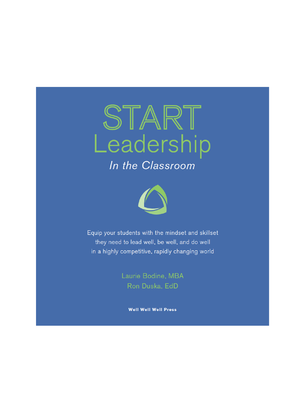

In the Classroom



Equip your students with the mindset and skillset they need to lead well, be well, and do well in a highly competitive, rapidly changing world

> Laurie Bodine, MBA Ron Duska, EdD

> > **Well Well Well Press**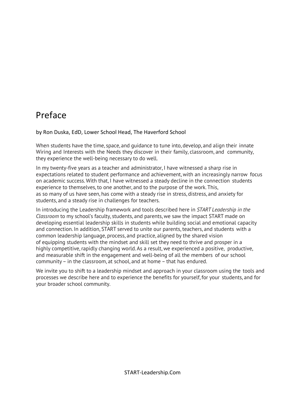# Preface

#### by Ron Duska, EdD, Lower School Head, The Haverford School

When students have the time, space, and guidance to tune into, develop, and align their innate Wiring and Interests with the Needs they discover in their family, classroom, and community, they experience the well-being necessary to do well.

In my twenty-five years as a teacher and administrator, I have witnessed a sharp rise in expectations related to student performance and achievement, with an increasingly narrow focus on academic success. With that, I have witnessed a steady decline in the connection students experience to themselves, to one another, and to the purpose of the work. This, as so many of us have seen, has come with a steady rise in stress, distress, and anxiety for students, and a steady rise in challenges for teachers.

In introducing the Leadership framework and tools described here in *START Leadership in the Classroom* to my school's faculty, students, and parents, we saw the impact START made on developing essential leadership skills in students while building social and emotional capacity and connection. In addition, START served to unite our parents, teachers, and students with a common leadership language, process, and practice, aligned by the shared vision of equipping students with the mindset and skill set they need to thrive and prosper in a highly competitive, rapidly changing world. As a result, we experienced a positive, productive, and measurable shift in the engagement and well-being of all the members of our school community– in the classroom, at school, and at home – that has endured.

We invite you to shift to a leadership mindset and approach in your classroom using the tools and processes we describe here and to experience the benefits for yourself, for your students, and for your broader school community.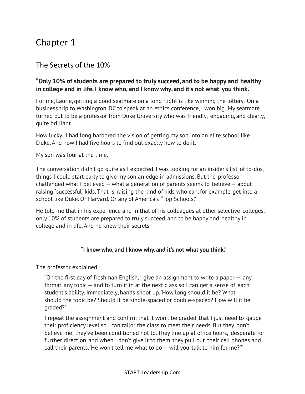# Chapter 1

# The Secrets of the 10%

#### **"Only 10% of students are prepared to truly succeed, and to be happy and healthy in college and in life. I know who, and I know why, and it's not what you think."**

For me, Laurie, getting a good seatmate on a long flight is like winning the lottery. On a business trip to Washington, DC to speak at an ethics conference, I won big. My seatmate turned out to be a professor from Duke University who was friendly, engaging, and clearly, quite brilliant.

How lucky! I had long harbored the vision of getting my son into an elite school like Duke.And now I had five hours to find out exactly how to do it.

My son was four at the time.

The conversation didn't go quite as I expected. I was looking for an insider's list of to-dos, things I could start early to give my son an edge in admissions. But the professor challenged what I believed — what a generation of parents seems to believe — about raising "successful" kids. That is, raising the kind of kids who can, for example, get into a school like Duke. Or Harvard. Or any of America's "Top Schools."

He told me that in his experience and in that of his colleagues at other selective colleges, only 10% of students are prepared to truly succeed, and to be happy and healthy in college and in life. And he knew their secrets.

#### **"I know who, and I know why, and it's not what you think."**

The professor explained:

"On the first day of freshman English, I give an assignment to write a paper — any format, any topic — and to turn it in at the next class so I can get a sense of each student's ability. Immediately, hands shoot up. 'How long should it be? What should the topic be? Should it be single-spaced or double-spaced? How will it be graded?'

I repeat the assignment and confirm that it won't be graded, that I just need to gauge their proficiency level so I can tailor the class to meet their needs. But they don't believe me; they've been conditioned not to. They line up at office hours, desperate for further direction, and when I don't give it to them, they pull out their cell phones and call their parents. He won't tell me what to do  $-$  will you talk to him for me?"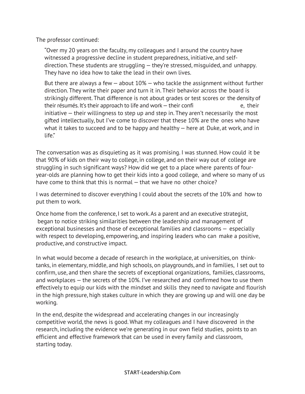The professor continued:

"Over my 20 years on the faculty, my colleagues and I around the country have witnessed a progressive decline in student preparedness, initiative, and selfdirection. These students are struggling — they're stressed, misguided, and unhappy. They have no idea how to take the lead in their own lives.

But there are always a few — about 10% — who tackle the assignment without further direction. They write their paper and turn it in. Their behavior across the board is strikingly different. That difference is not about grades or test scores or the density of their résumés. It's their approach to life and work – their confi e e, their initiative — their willingness to step up and step in. They aren't necessarily the most gifted intellectually, but I've come to discover that these 10% are the ones who have what it takes to succeed and to be happy and healthy — here at Duke, at work, and in life"

The conversation was as disquieting as it was promising. I was stunned. How could it be that 90% of kids on their way to college, in college, and on their way out of college are struggling in such significant ways? How did we get to a place where parents of fouryear-olds are planning how to get their kids into a good college, and where so many of us have come to think that this is normal — that we have no other choice?

I was determined to discover everything I could about the secrets of the 10% and how to put them to work.

Once home from the conference, I set to work.As a parent and an executive strategist, began to notice striking similarities between the leadership and management of exceptional businesses and those of exceptional families and classrooms — especially with respect to developing, empowering, and inspiring leaders who can make a positive, productive, and constructive impact.

In what would become a decade of research in the workplace, at universities, on thinktanks, in elementary, middle, and high schools, on playgrounds, and in families, I set out to confirm, use, and then share the secrets of exceptional organizations, families, classrooms, and workplaces — the secrets of the 10%. I've researched and confirmed how to use them effectively to equip our kids with the mindset and skills they need to navigate and flourish in the high pressure, high stakes culture in which they are growing up and will one day be working.

In the end, despite the widespread and accelerating changes in our increasingly competitive world, the news is good. What my colleagues and I have discovered in the research, including the evidence we're generating in our own field studies, points to an efficient and effective framework that can be used in every family and classroom, starting today.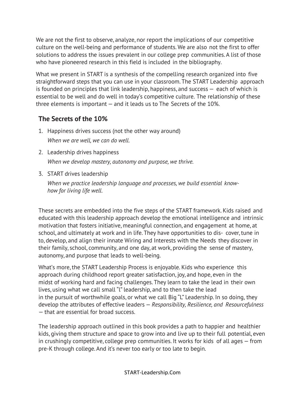We are not the first to observe, analyze, nor report the implications of our competitive culture on the well-being and performance of students. We are also not the first to offer solutions to address the issues prevalent in our college prep communities. A list of those who have pioneered research in this field is included in the bibliography.

What we present in START is a synthesis of the compelling research organized into five straightforward steps that you can use in your classroom. The START Leadership approach is founded on principles that link leadership, happiness, and success — each of which is essential to be well and do well in today's competitive culture. The relationship of these three elements is important — and it leads us to The Secrets of the 10%.

## **The Secrets of the 10%**

- 1. Happiness drives success (not the other way around) *When we are well, we can do well.*
- 2. Leadership drives happiness *When we develop mastery, autonomy and purpose, we thrive.*
- 3. START drives leadership

*When we practice leadership language and processes, we build essential knowhow for living life well.*

These secrets are embedded into the five steps of the START framework. Kids raised and educated with this leadership approach develop the emotional intelligence and intrinsic motivation that fosters initiative, meaningful connection, and engagement at home, at school, and ultimately at work and in life. They have opportunities to dis- cover,tune in to, develop, and align their innate Wiring and Interests with the Needs they discover in their family, school, community, and one day, at work, providing the sense of mastery, autonomy, and purpose that leads to well-being.

What's more, the START Leadership Process is enjoyable. Kids who experience this approach during childhood report greater satisfaction, joy, and hope, even in the midst of working hard and facing challenges. They learn to take the lead in their own lives, using what we call small "l" leadership, and to then take the lead in the pursuit of worthwhile goals, or what we call Big "L" Leadership. In so doing, they develop the attributes of effective leaders — *Responsibility, Resilience, and Resourcefulness* — that are essential for broad success.

The leadership approach outlined in this book provides a path to happier and healthier kids, giving them structure and space to grow into and live up to their full potential, even in crushingly competitive, college prep communities. It works for kids of all ages — from pre-K through college. And it's never too early or too late to begin.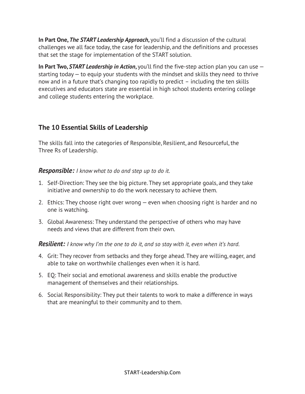**In Part One,** *The START Leadership Approach***,** you'll find a discussion of the cultural challenges we all face today,the case for leadership, and the definitions and processes that set the stage for implementation of the START solution.

**In Part Two,** *START Leadership in Action***,** you'll find the five-step action plan you can use starting today — to equip your students with the mindset and skills they need to thrive now and in a future that's changing too rapidly to predict – including the ten skills executives and educators state are essential in high school students entering college and college students entering the workplace.

## **The 10 Essential Skills of Leadership**

The skills fall into the categories of Responsible, Resilient, and Resourceful, the Three Rs of Leadership.

#### *Responsible: I know what to do and step up to do it.*

- 1. Self-Direction: They see the big picture. They set appropriate goals, and they take initiative and ownership to do the work necessary to achieve them.
- 2. Ethics: They choose right over wrong even when choosing right is harder and no one is watching.
- 3. Global Awareness: They understand the perspective of others who may have needs and views that are different from their own.

#### *Resilient: I know why I'm the one to do it, and so stay with it, even when it's hard.*

- 4. Grit: They recover from setbacks and they forge ahead. They are willing, eager, and able to take on worthwhile challenges even when it is hard.
- 5. EQ: Their social and emotional awareness and skills enable the productive management of themselves and their relationships.
- 6. Social Responsibility: They put their talents to work to make a difference in ways that are meaningful to their community and to them.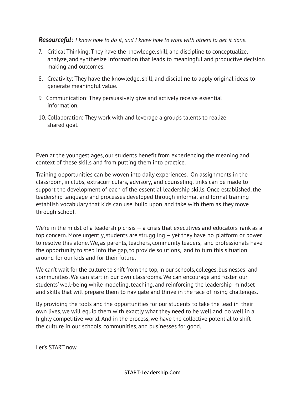#### *Resourceful: I know how to do it, and I know how to work with others to get it done.*

- 7. Critical Thinking: They have the knowledge, skill, and discipline to conceptualize, analyze, and synthesize information that leads to meaningful and productive decision making and outcomes.
- 8. Creativity: They have the knowledge, skill, and discipline to apply original ideas to generate meaningful value.
- 9 Communication: They persuasively give and actively receive essential information.
- 10. Collaboration: They work with and leverage a group's talents to realize shared goal.

Even at the youngest ages, our students benefit from experiencing the meaning and context of these skills and from putting them into practice.

Training opportunities can be woven into daily experiences. On assignments in the classroom, in clubs, extracurriculars, advisory, and counseling, links can be made to support the development of each of the essential leadership skills. Once established, the leadership language and processes developed through informal and formal training establish vocabulary that kids can use, build upon, and take with them as they move through school.

We're in the midst of a leadership crisis  $-$  a crisis that executives and educators rank as a top concern. More urgently, students are struggling — yet they have no platform or power to resolve this alone. We, as parents, teachers, community leaders, and professionals have the opportunity to step into the gap, to provide solutions, and to turn this situation around for our kids and for their future.

We can't wait for the culture to shift from the top, in our schools, colleges, businesses and communities. We can start in our own classrooms. We can encourage and foster our students' well-being while modeling, teaching, and reinforcing the leadership mindset and skills that will prepare them to navigate and thrive in the face of rising challenges.

By providing the tools and the opportunities for our students to take the lead in their own lives, we will equip them with exactly what they need to be well and do well in a highly competitive world. And in the process, we have the collective potential to shift the culture in our schools, communities, and businesses for good.

Let's START now.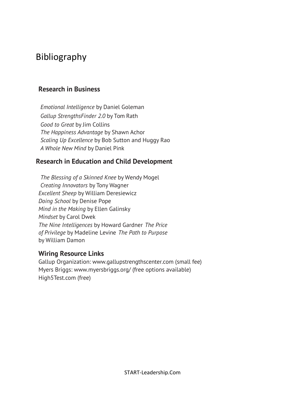# Bibliography

### **Research in Business**

*Emotional Intelligence* by Daniel Goleman *Gallup StrengthsFinder 2.0* by Tom Rath *Good to Great* by Jim Collins *The Happiness Advantage* by Shawn Achor *Scaling Up Excellence* by Bob Sutton and Huggy Rao *A Whole New Mind* by Daniel Pink

### **Research in Education and Child Development**

*The Blessing of a Skinned Knee* by Wendy Mogel *Creating Innovators* by Tony Wagner *Excellent Sheep* by William Deresiewicz *Doing School* by Denise Pope *Mind in the Making* by Ellen Galinsky *Mindset* by Carol Dwek *The Nine Intelligences* by Howard Gardner *The Price of Privilege* by Madeline Levine *The Path to Purpose* by William Damon

#### **Wiring Resource Links**

Gallup Organization: www.gallupstrengthscenter.com (small fee) Myers Briggs: www.myersbriggs.org/ (free options available) High5Test.com (free)